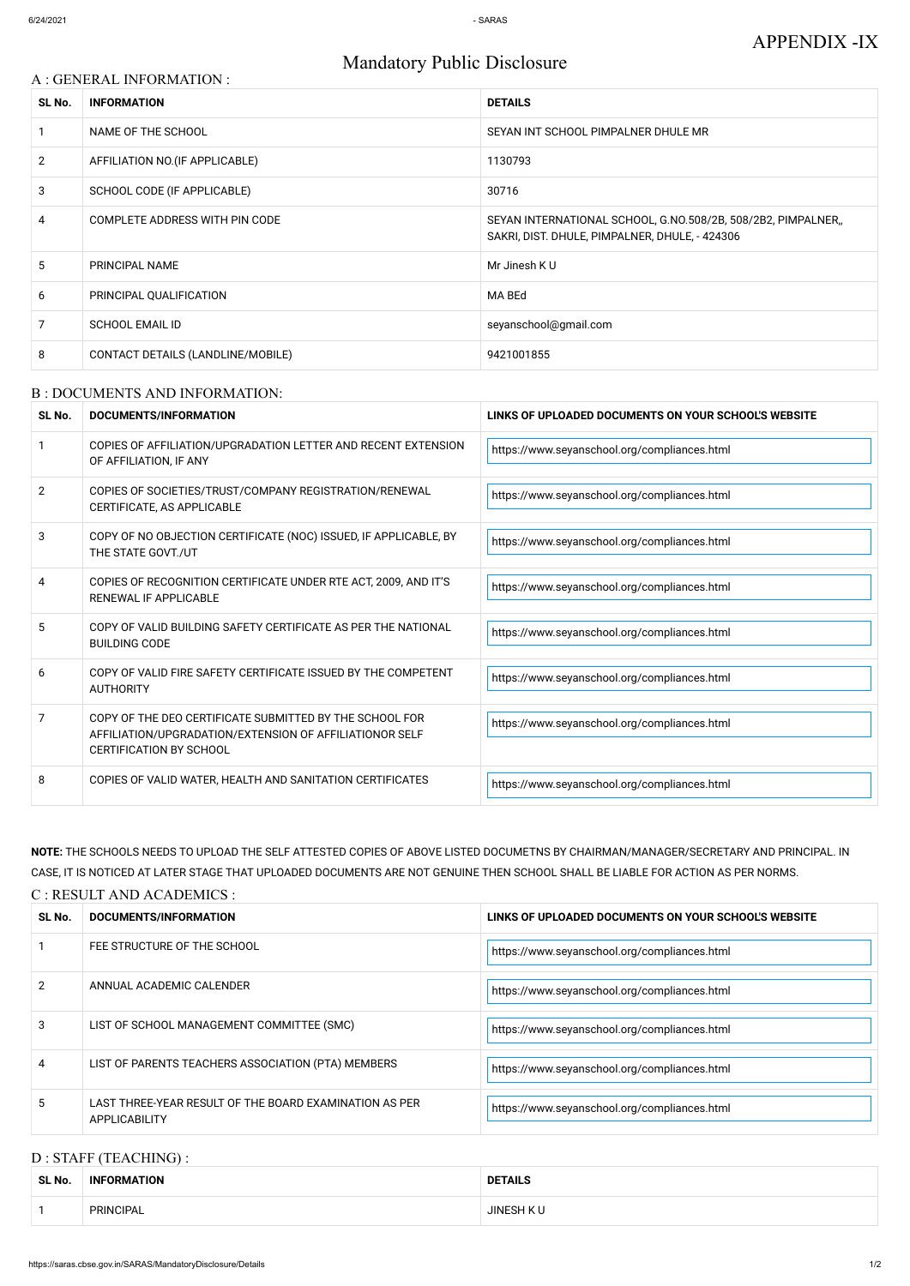# Mandatory Public Disclosure

| A : GENERAL INFORMATION : |                                   |                                                                                                                |  |
|---------------------------|-----------------------------------|----------------------------------------------------------------------------------------------------------------|--|
| SL No.                    | <b>INFORMATION</b>                | <b>DETAILS</b>                                                                                                 |  |
| 1                         | NAME OF THE SCHOOL                | SEYAN INT SCHOOL PIMPALNER DHULE MR                                                                            |  |
| $\overline{2}$            | AFFILIATION NO. (IF APPLICABLE)   | 1130793                                                                                                        |  |
| 3                         | SCHOOL CODE (IF APPLICABLE)       | 30716                                                                                                          |  |
| 4                         | COMPLETE ADDRESS WITH PIN CODE    | SEYAN INTERNATIONAL SCHOOL, G.NO.508/2B, 508/2B2, PIMPALNER,<br>SAKRI, DIST. DHULE, PIMPALNER, DHULE, - 424306 |  |
| 5                         | PRINCIPAL NAME                    | Mr Jinesh KU                                                                                                   |  |
| 6                         | PRINCIPAL QUALIFICATION           | MA BEd                                                                                                         |  |
| $\overline{7}$            | <b>SCHOOL EMAIL ID</b>            | seyanschool@gmail.com                                                                                          |  |
| 8                         | CONTACT DETAILS (LANDLINE/MOBILE) | 9421001855                                                                                                     |  |

#### B : DOCUMENTS AND INFORMATION:

| SL No.         | <b>DOCUMENTS/INFORMATION</b>                                                                                                                         | LINKS OF UPLOADED DOCUMENTS ON YOUR SCHOOL'S WEBSITE |  |
|----------------|------------------------------------------------------------------------------------------------------------------------------------------------------|------------------------------------------------------|--|
|                | COPIES OF AFFILIATION/UPGRADATION LETTER AND RECENT EXTENSION<br>OF AFFILIATION, IF ANY                                                              | https://www.seyanschool.org/compliances.html         |  |
| $\overline{2}$ | COPIES OF SOCIETIES/TRUST/COMPANY REGISTRATION/RENEWAL<br>CERTIFICATE, AS APPLICABLE                                                                 | https://www.seyanschool.org/compliances.html         |  |
| 3              | COPY OF NO OBJECTION CERTIFICATE (NOC) ISSUED, IF APPLICABLE, BY<br>THE STATE GOVT./UT                                                               | https://www.seyanschool.org/compliances.html         |  |
| 4              | COPIES OF RECOGNITION CERTIFICATE UNDER RTE ACT, 2009, AND IT'S<br>RENEWAL IF APPLICABLE                                                             | https://www.seyanschool.org/compliances.html         |  |
| 5              | COPY OF VALID BUILDING SAFETY CERTIFICATE AS PER THE NATIONAL<br><b>BUILDING CODE</b>                                                                | https://www.seyanschool.org/compliances.html         |  |
| 6              | COPY OF VALID FIRE SAFETY CERTIFICATE ISSUED BY THE COMPETENT<br><b>AUTHORITY</b>                                                                    | https://www.seyanschool.org/compliances.html         |  |
| 7              | COPY OF THE DEO CERTIFICATE SUBMITTED BY THE SCHOOL FOR<br>AFFILIATION/UPGRADATION/EXTENSION OF AFFILIATIONOR SELF<br><b>CERTIFICATION BY SCHOOL</b> | https://www.seyanschool.org/compliances.html         |  |
| 8              | COPIES OF VALID WATER, HEALTH AND SANITATION CERTIFICATES                                                                                            | https://www.seyanschool.org/compliances.html         |  |

| 2 | ANNUAL ACADEMIC CALENDER                                                       | https://www.seyanschool.org/compliances.html |
|---|--------------------------------------------------------------------------------|----------------------------------------------|
|   | LIST OF SCHOOL MANAGEMENT COMMITTEE (SMC)                                      | https://www.seyanschool.org/compliances.html |
| 4 | LIST OF PARENTS TEACHERS ASSOCIATION (PTA) MEMBERS                             | https://www.seyanschool.org/compliances.html |
| 5 | LAST THREE-YEAR RESULT OF THE BOARD EXAMINATION AS PER<br><b>APPLICABILITY</b> | https://www.seyanschool.org/compliances.html |

**NOTE:** THE SCHOOLS NEEDS TO UPLOAD THE SELF ATTESTED COPIES OF ABOVE LISTED DOCUMETNS BY CHAIRMAN/MANAGER/SECRETARY AND PRINCIPAL. IN CASE, IT IS NOTICED AT LATER STAGE THAT UPLOADED DOCUMENTS ARE NOT GENUINE THEN SCHOOL SHALL BE LIABLE FOR ACTION AS PER NORMS.

C : RESULT AND ACADEMICS :

| SL No. | DOCUMENTS/INFORMATION       | LINKS OF UPLOADED DOCUMENTS ON YOUR SCHOOL'S WEBSITE |  |
|--------|-----------------------------|------------------------------------------------------|--|
|        | FEE STRUCTURE OF THE SCHOOL | https://www.seyanschool.org/compliances.html         |  |

## D : STAFF (TEACHING) :

| SL No. | <b>INFORMATION</b> | <b>DETAILS</b>   |
|--------|--------------------|------------------|
|        | <b>PRINCIPAL</b>   | <b>JINESH KU</b> |